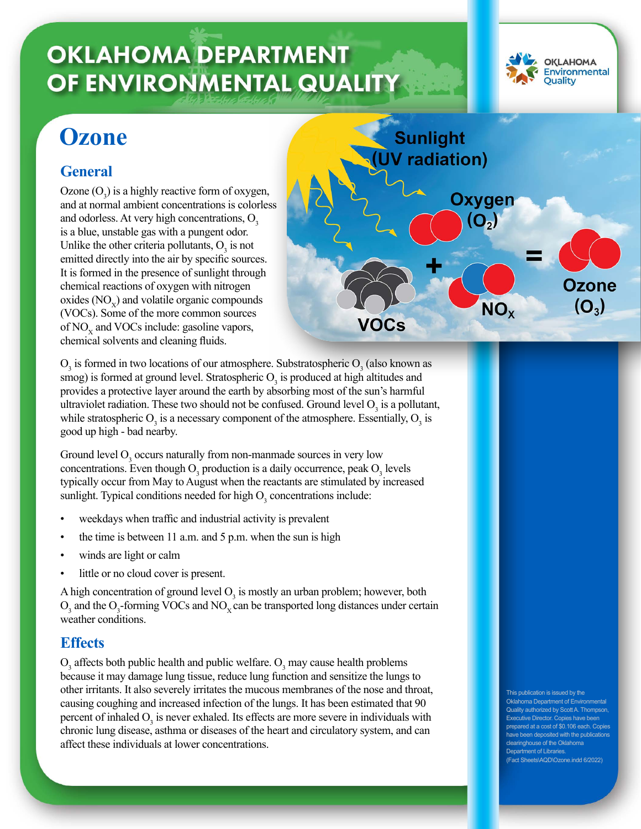# **OKLAHOMA DEPARTMENT** OF ENVIRONMENTAL QUALITY



## **Ozone**

### **General**

Ozone  $(O_3)$  is a highly reactive form of oxygen, and at normal ambient concentrations is colorless and odorless. At very high concentrations,  $O<sub>3</sub>$ is a blue, unstable gas with a pungent odor. Unlike the other criteria pollutants,  $O_3$  is not emitted directly into the air by specific sources. It is formed in the presence of sunlight through chemical reactions of oxygen with nitrogen oxides  $(NO<sub>x</sub>)$  and volatile organic compounds (VOCs). Some of the more common sources of  $NO<sub>x</sub>$  and VOCs include: gasoline vapors, chemical solvents and cleaning fluids.



 $O_3$  is formed in two locations of our atmosphere. Substratospheric  $O_3$  (also known as smog) is formed at ground level. Stratospheric  $O_3$  is produced at high altitudes and provides a protective layer around the earth by absorbing most of the sun's harmful ultraviolet radiation. These two should not be confused. Ground level  $O_3$  is a pollutant, while stratospheric  $O_3$  is a necessary component of the atmosphere. Essentially,  $O_3$  is good up high - bad nearby.

Ground level  $O_3$  occurs naturally from non-manmade sources in very low concentrations. Even though  $O_3$  production is a daily occurrence, peak  $O_3$  levels typically occur from May to August when the reactants are stimulated by increased sunlight. Typical conditions needed for high  $O_3$  concentrations include:

- weekdays when traffic and industrial activity is prevalent
- the time is between 11 a.m. and 5 p.m. when the sun is high
- winds are light or calm
- little or no cloud cover is present.

A high concentration of ground level  $O_3$  is mostly an urban problem; however, both  $O_3$  and the  $O_3$ -forming VOCs and NO<sub>x</sub> can be transported long distances under certain weather conditions.

#### **Effects**

 $O_3$  affects both public health and public welfare.  $O_3$  may cause health problems because it may damage lung tissue, reduce lung function and sensitize the lungs to other irritants. It also severely irritates the mucous membranes of the nose and throat, causing coughing and increased infection of the lungs. It has been estimated that 90 percent of inhaled  $O_3$  is never exhaled. Its effects are more severe in individuals with chronic lung disease, asthma or diseases of the heart and circulatory system, and can affect these individuals at lower concentrations.

This publication is issued by the oma Department of En uthorized by Scott A. Thompsor ecutive Director. Copies have been ared at a cost of \$0.106 each. Copies ve been deposited with the publications clearinghouse of the Oklahoma Department of Libraries. (Fact Sheets\AQD\Ozone.indd 6/2022)